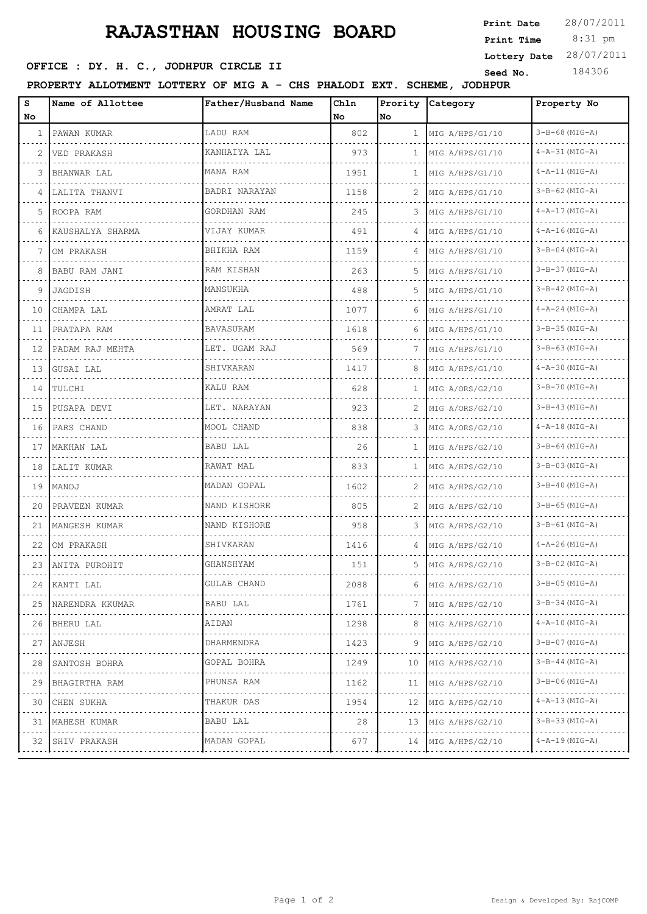## **RAJASTHAN HOUSING BOARD**

# 8:31 pm **Print Time Print Date**  $28/07/2011$ **Lottery Date** 28/07/2011

## **SEET CE : DY. H. C., JODHPUR CIRCLE II** Seed No. 184306

**PROPERTY ALLOTMENT LOTTERY OF MIG A - CHS PHALODI EXT. SCHEME, JODHPUR**

| S  | Name of Allottee                   | Father/Husband Name | Ch1n |                | Prority Category       | Property No            |
|----|------------------------------------|---------------------|------|----------------|------------------------|------------------------|
| No |                                    |                     | No   | No.            |                        |                        |
| 1  | PAWAN KUMAR<br>and a state and the | LADU RAM            | 802  | $\mathbf{1}$   | MIG A/HPS/G1/10        | $3 - B - 68$ (MIG-A)   |
| 2  | VED PRAKASH                        | KANHAIYA LAL        | 973  | $\mathbf{1}$   | MIG A/HPS/G1/10        | $4 - A - 31$ (MIG-A)   |
| 3  | BHANWAR LAL                        | MANA RAM            | 1951 | $\mathbf{1}$   | MIG A/HPS/G1/10        | $4 - A - 11$ (MIG-A)   |
| 4  | LALITA THANVI                      | BADRI NARAYAN       | 1158 | 2              | MIG A/HPS/G1/10        | $3 - B - 62$ (MIG-A)   |
| 5  | ROOPA RAM                          | GORDHAN RAM         | 245  | 3              | MIG A/HPS/G1/10        | $4 - A - 17$ (MIG-A)   |
| 6  | KAUSHALYA SHARMA                   | VIJAY KUMAR         | 491  | $\overline{4}$ | MIG A/HPS/G1/10        | $4 - A - 16$ (MIG-A)   |
| 7  | OM PRAKASH                         | BHIKHA RAM          | 1159 | 4              | MIG A/HPS/G1/10        | $3 - B - 04 (MIG - A)$ |
| 8  | BABU RAM JANI                      | RAM KISHAN          | 263  | 5              | MIG A/HPS/G1/10        | $3 - B - 37$ (MIG-A)   |
| 9  | JAGDISH                            | MANSUKHA            | 488  | 5              | MIG A/HPS/G1/10        | $3 - B - 42$ (MIG-A)   |
| 10 | CHAMPA LAL                         | AMRAT LAL           | 1077 | 6              | MIG A/HPS/G1/10        | $4 - A - 24$ (MIG-A)   |
| 11 | PRATAPA RAM                        | BAVASURAM           | 1618 | 6              | MIG A/HPS/G1/10        | $3 - B - 35$ (MIG-A)   |
| 12 | PADAM RAJ MEHTA                    | LET. UGAM RAJ       | 569  | 7              | MIG A/HPS/G1/10        | $3 - B - 63$ (MIG-A)   |
| 13 | GUSAI LAL                          | SHIVKARAN           | 1417 | 8              | MIG A/HPS/G1/10        | $4 - A - 30$ (MIG-A)   |
| 14 | TULCHI                             | KALU RAM            | 628  | $\mathbf{1}$   | MIG A/ORS/G2/10        | $3 - B - 70$ (MIG-A)   |
| 15 | PUSAPA DEVI                        | LET. NARAYAN        | 923  | 2              | MIG A/ORS/G2/10        | $3 - B - 43$ (MIG-A)   |
| 16 | PARS CHAND                         | MOOL CHAND          | 838  | 3              | MIG A/ORS/G2/10        | $4 - A - 18$ (MIG-A)   |
| 17 | MAKHAN LAL                         | BABU LAL            | 26   | $\mathbf{1}$   | MIG A/HPS/G2/10        | $3 - B - 64$ (MIG-A)   |
| 18 | LALIT KUMAR                        | RAWAT MAL           | 833  | $\mathbf{1}$   | MIG A/HPS/G2/10        | $3 - B - 03$ (MIG-A)   |
| 19 | MANOJ                              | MADAN GOPAL         | 1602 | 2              | MIG A/HPS/G2/10        | $3 - B - 40$ (MIG-A)   |
| 20 | PRAVEEN KUMAR                      | NAND KISHORE        | 805  | 2              | MIG A/HPS/G2/10        | $3 - B - 65$ (MIG-A)   |
| 21 | MANGESH KUMAR                      | NAND KISHORE        | 958  | 3              | MIG A/HPS/G2/10        | $3 - B - 61$ (MIG-A)   |
| 22 | OM PRAKASH                         | SHIVKARAN           | 1416 | 4              | MIG A/HPS/G2/10        | $4 - A - 26$ (MIG-A)   |
| 23 | ANITA PUROHIT                      | GHANSHYAM           | 151  | 5.             | MIG A/HPS/G2/10        | $3 - B - 02$ (MIG-A)   |
| 24 | KANTI LAL                          | GULAB CHAND         | 2088 |                | 6 MIG A/HPS/G2/10      | $3-B-05$ (MIG-A)       |
| 25 | NARENDRA KKUMAR                    | BABU LAL            | 1761 | 7              | MIG A/HPS/G2/10        | $3-B-34 (MIG-A)$       |
|    | 26 BHERU LAL                       | AIDAN               | 1298 |                | 8   MIG A/HPS/G2/10    | $4 - A - 10$ (MIG-A)   |
| 27 | ANJESH                             | DHARMENDRA          | 1423 | 9              | MIG A/HPS/G2/10        | $3 - B - 07$ (MIG-A)   |
| 28 | SANTOSH BOHRA                      | GOPAL BOHRA         | 1249 |                | $10$ MIG A/HPS/G2/10   | $3 - B - 44$ (MIG-A)   |
| 29 | BHAGIRTHA RAM                      | PHUNSA RAM          | 1162 |                | 11   MIG $A/HPS/G2/10$ | $3 - B - 06$ (MIG-A)   |
| 30 | CHEN SUKHA                         | THAKUR DAS          | 1954 |                | 12 MIG A/HPS/G2/10     | $4 - A - 13$ (MIG-A)   |
| 31 | MAHESH KUMAR                       | BABU LAL            | 28   | 13             | MIG A/HPS/G2/10        | 3-B-33 (MIG-A)         |
| 32 | SHIV PRAKASH                       | MADAN GOPAL         | 677  |                | 14   MIG A/HPS/G2/10   | 4-A-19 (MIG-A)         |